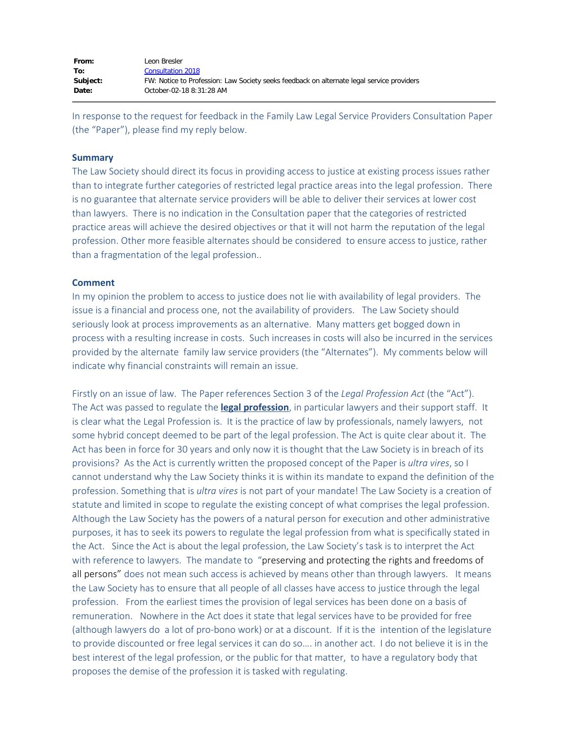| From:    | Leon Bresler                                                                              |
|----------|-------------------------------------------------------------------------------------------|
| To:      | Consultation 2018                                                                         |
| Subject: | FW: Notice to Profession: Law Society seeks feedback on alternate legal service providers |
| Date:    | October-02-18 8:31:28 AM                                                                  |

In response to the request for feedback in the Family Law Legal Service Providers Consultation Paper (the "Paper"), please find my reply below.

## **Summary**

The Law Society should direct its focus in providing access to justice at existing process issues rather than to integrate further categories of restricted legal practice areas into the legal profession. There is no guarantee that alternate service providers will be able to deliver their services at lower cost than lawyers. There is no indication in the Consultation paper that the categories of restricted practice areas will achieve the desired objectives or that it will not harm the reputation of the legal profession. Other more feasible alternates should be considered to ensure access to justice, rather than a fragmentation of the legal profession..

## **Comment**

In my opinion the problem to access to justice does not lie with availability of legal providers. The issue is a financial and process one, not the availability of providers. The Law Society should seriously look at process improvements as an alternative. Many matters get bogged down in process with a resulting increase in costs. Such increases in costs will also be incurred in the services provided by the alternate family law service providers (the "Alternates"). My comments below will indicate why financial constraints will remain an issue.

Firstly on an issue of law. The Paper references Section 3 of the *Legal Profession Act* (the "Act"). The Act was passed to regulate the **legal profession**, in particular lawyers and their support staff. It is clear what the Legal Profession is. It is the practice of law by professionals, namely lawyers, not some hybrid concept deemed to be part of the legal profession. The Act is quite clear about it. The Act has been in force for 30 years and only now it is thought that the Law Society is in breach of its provisions? As the Act is currently written the proposed concept of the Paper is *ultra vires*, so I cannot understand why the Law Society thinks it is within its mandate to expand the definition of the profession. Something that is *ultra vires* is not part of your mandate! The Law Society is a creation of statute and limited in scope to regulate the existing concept of what comprises the legal profession. Although the Law Society has the powers of a natural person for execution and other administrative purposes, it has to seek its powers to regulate the legal profession from what is specifically stated in the Act. Since the Act is about the legal profession, the Law Society's task is to interpret the Act with reference to lawyers. The mandate to "preserving and protecting the rights and freedoms of all persons" does not mean such access is achieved by means other than through lawyers. It means the Law Society has to ensure that all people of all classes have access to justice through the legal profession. From the earliest times the provision of legal services has been done on a basis of remuneration. Nowhere in the Act does it state that legal services have to be provided for free (although lawyers do a lot of pro-bono work) or at a discount. If it is the intention of the legislature to provide discounted or free legal services it can do so…. in another act. I do not believe it is in the best interest of the legal profession, or the public for that matter, to have a regulatory body that proposes the demise of the profession it is tasked with regulating.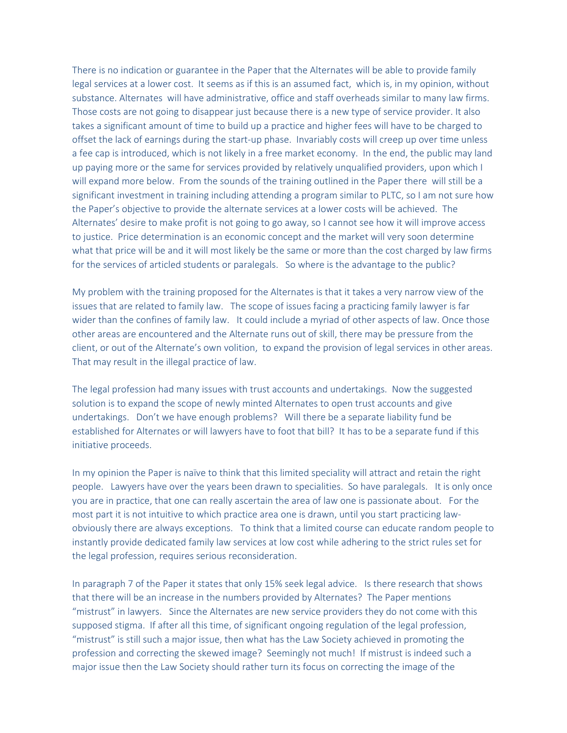There is no indication or guarantee in the Paper that the Alternates will be able to provide family legal services at a lower cost. It seems as if this is an assumed fact, which is, in my opinion, without substance. Alternates will have administrative, office and staff overheads similar to many law firms. Those costs are not going to disappear just because there is a new type of service provider. It also takes a significant amount of time to build up a practice and higher fees will have to be charged to offset the lack of earnings during the start-up phase. Invariably costs will creep up over time unless a fee cap is introduced, which is not likely in a free market economy. In the end, the public may land up paying more or the same for services provided by relatively unqualified providers, upon which I will expand more below. From the sounds of the training outlined in the Paper there will still be a significant investment in training including attending a program similar to PLTC, so I am not sure how the Paper's objective to provide the alternate services at a lower costs will be achieved. The Alternates' desire to make profit is not going to go away, so I cannot see how it will improve access to justice. Price determination is an economic concept and the market will very soon determine what that price will be and it will most likely be the same or more than the cost charged by law firms for the services of articled students or paralegals. So where is the advantage to the public?

My problem with the training proposed for the Alternates is that it takes a very narrow view of the issues that are related to family law. The scope of issues facing a practicing family lawyer is far wider than the confines of family law. It could include a myriad of other aspects of law. Once those other areas are encountered and the Alternate runs out of skill, there may be pressure from the client, or out of the Alternate's own volition, to expand the provision of legal services in other areas. That may result in the illegal practice of law.

The legal profession had many issues with trust accounts and undertakings. Now the suggested solution is to expand the scope of newly minted Alternates to open trust accounts and give undertakings. Don't we have enough problems? Will there be a separate liability fund be established for Alternates or will lawyers have to foot that bill? It has to be a separate fund if this initiative proceeds.

In my opinion the Paper is naïve to think that this limited speciality will attract and retain the right people. Lawyers have over the years been drawn to specialities. So have paralegals. It is only once you are in practice, that one can really ascertain the area of law one is passionate about. For the most part it is not intuitive to which practice area one is drawn, until you start practicing lawobviously there are always exceptions. To think that a limited course can educate random people to instantly provide dedicated family law services at low cost while adhering to the strict rules set for the legal profession, requires serious reconsideration.

In paragraph 7 of the Paper it states that only 15% seek legal advice. Is there research that shows that there will be an increase in the numbers provided by Alternates? The Paper mentions "mistrust" in lawyers. Since the Alternates are new service providers they do not come with this supposed stigma. If after all this time, of significant ongoing regulation of the legal profession, "mistrust" is still such a major issue, then what has the Law Society achieved in promoting the profession and correcting the skewed image? Seemingly not much! If mistrust is indeed such a major issue then the Law Society should rather turn its focus on correcting the image of the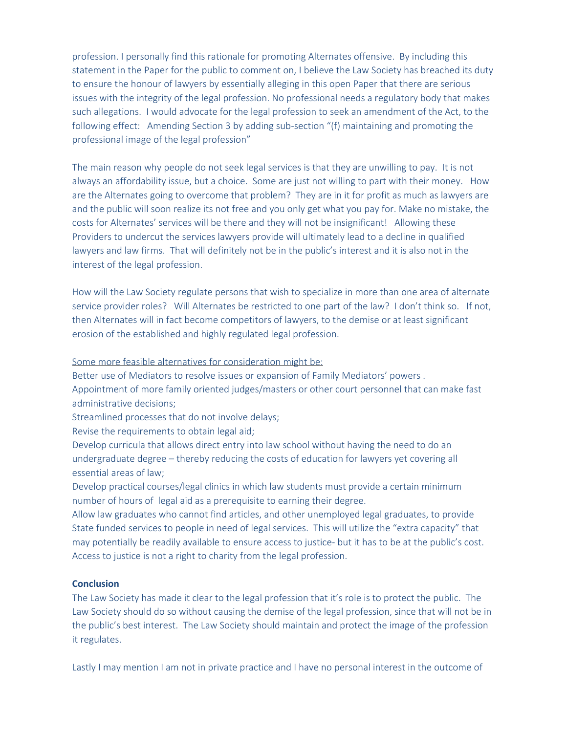profession. I personally find this rationale for promoting Alternates offensive. By including this statement in the Paper for the public to comment on, I believe the Law Society has breached its duty to ensure the honour of lawyers by essentially alleging in this open Paper that there are serious issues with the integrity of the legal profession. No professional needs a regulatory body that makes such allegations. I would advocate for the legal profession to seek an amendment of the Act, to the following effect: Amending Section 3 by adding sub-section "(f) maintaining and promoting the professional image of the legal profession"

The main reason why people do not seek legal services is that they are unwilling to pay. It is not always an affordability issue, but a choice. Some are just not willing to part with their money. How are the Alternates going to overcome that problem? They are in it for profit as much as lawyers are and the public will soon realize its not free and you only get what you pay for. Make no mistake, the costs for Alternates' services will be there and they will not be insignificant! Allowing these Providers to undercut the services lawyers provide will ultimately lead to a decline in qualified lawyers and law firms. That will definitely not be in the public's interest and it is also not in the interest of the legal profession.

How will the Law Society regulate persons that wish to specialize in more than one area of alternate service provider roles? Will Alternates be restricted to one part of the law? I don't think so. If not, then Alternates will in fact become competitors of lawyers, to the demise or at least significant erosion of the established and highly regulated legal profession.

## Some more feasible alternatives for consideration might be:

Better use of Mediators to resolve issues or expansion of Family Mediators' powers . Appointment of more family oriented judges/masters or other court personnel that can make fast administrative decisions;

Streamlined processes that do not involve delays;

Revise the requirements to obtain legal aid;

Develop curricula that allows direct entry into law school without having the need to do an undergraduate degree – thereby reducing the costs of education for lawyers yet covering all essential areas of law;

Develop practical courses/legal clinics in which law students must provide a certain minimum number of hours of legal aid as a prerequisite to earning their degree.

Allow law graduates who cannot find articles, and other unemployed legal graduates, to provide State funded services to people in need of legal services. This will utilize the "extra capacity" that may potentially be readily available to ensure access to justice- but it has to be at the public's cost. Access to justice is not a right to charity from the legal profession.

## **Conclusion**

The Law Society has made it clear to the legal profession that it's role is to protect the public. The Law Society should do so without causing the demise of the legal profession, since that will not be in the public's best interest. The Law Society should maintain and protect the image of the profession it regulates.

Lastly I may mention I am not in private practice and I have no personal interest in the outcome of